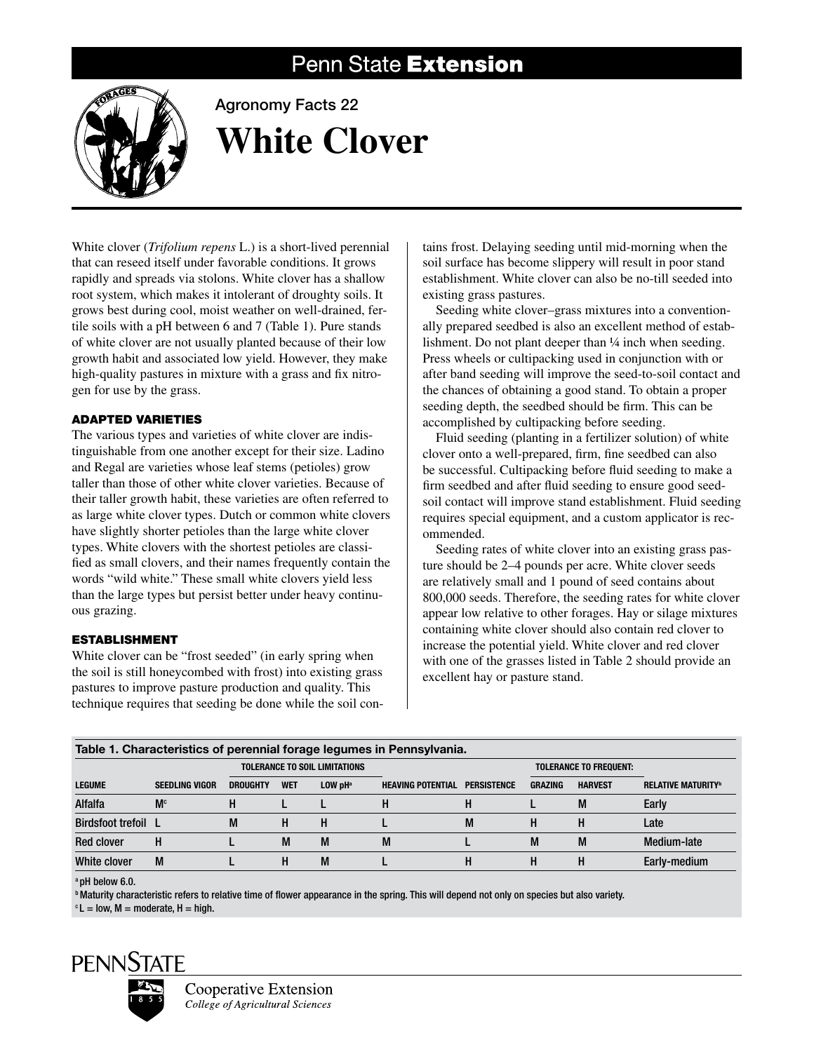# Penn State Extension



# Agronomy Facts 22 **White Clover**

White clover (*Trifolium repens* L.) is a short-lived perennial that can reseed itself under favorable conditions. It grows rapidly and spreads via stolons. White clover has a shallow root system, which makes it intolerant of droughty soils. It grows best during cool, moist weather on well-drained, fertile soils with a pH between 6 and 7 (Table 1). Pure stands of white clover are not usually planted because of their low growth habit and associated low yield. However, they make high-quality pastures in mixture with a grass and fix nitrogen for use by the grass.

## Adapted Varieties

The various types and varieties of white clover are indistinguishable from one another except for their size. Ladino and Regal are varieties whose leaf stems (petioles) grow taller than those of other white clover varieties. Because of their taller growth habit, these varieties are often referred to as large white clover types. Dutch or common white clovers have slightly shorter petioles than the large white clover types. White clovers with the shortest petioles are classified as small clovers, and their names frequently contain the words "wild white." These small white clovers yield less than the large types but persist better under heavy continuous grazing.

## Establishment

White clover can be "frost seeded" (in early spring when the soil is still honeycombed with frost) into existing grass pastures to improve pasture production and quality. This technique requires that seeding be done while the soil con-

tains frost. Delaying seeding until mid-morning when the soil surface has become slippery will result in poor stand establishment. White clover can also be no-till seeded into existing grass pastures.

Seeding white clover–grass mixtures into a conventionally prepared seedbed is also an excellent method of establishment. Do not plant deeper than 1/4 inch when seeding. Press wheels or cultipacking used in conjunction with or after band seeding will improve the seed-to-soil contact and the chances of obtaining a good stand. To obtain a proper seeding depth, the seedbed should be firm. This can be accomplished by cultipacking before seeding.

Fluid seeding (planting in a fertilizer solution) of white clover onto a well-prepared, firm, fine seedbed can also be successful. Cultipacking before fluid seeding to make a firm seedbed and after fluid seeding to ensure good seedsoil contact will improve stand establishment. Fluid seeding requires special equipment, and a custom applicator is recommended.

Seeding rates of white clover into an existing grass pasture should be 2–4 pounds per acre. White clover seeds are relatively small and 1 pound of seed contains about 800,000 seeds. Therefore, the seeding rates for white clover appear low relative to other forages. Hay or silage mixtures containing white clover should also contain red clover to increase the potential yield. White clover and red clover with one of the grasses listed in Table 2 should provide an excellent hay or pasture stand.

| Table 1. Characteristics of perennial forage legumes in Pennsylvania. |                       |                               |            |                       |                          |                    |                |                               |                           |  |
|-----------------------------------------------------------------------|-----------------------|-------------------------------|------------|-----------------------|--------------------------|--------------------|----------------|-------------------------------|---------------------------|--|
|                                                                       |                       | TOLERANCE TO SOIL LIMITATIONS |            |                       |                          |                    |                | <b>TOLERANCE TO FREQUENT:</b> |                           |  |
| <b>LEGUME</b>                                                         | <b>SEEDLING VIGOR</b> | <b>DROUGHTY</b>               | <b>WET</b> | $LOW$ pH <sup>a</sup> | <b>HEAVING POTENTIAL</b> | <b>PERSISTENCE</b> | <b>GRAZING</b> | <b>HARVEST</b>                | <b>RELATIVE MATURITY®</b> |  |
| Alfalfa                                                               | M <sub>c</sub>        |                               |            |                       | ш                        | п                  |                | M                             | Early                     |  |
| <b>Birdsfoot trefoil</b> L                                            |                       | М                             | н          | н                     |                          | M                  |                |                               | Late                      |  |
| <b>Red clover</b>                                                     | н                     |                               | M          | M                     | M                        |                    | M              | M                             | Medium-late               |  |
| White clover                                                          | M                     |                               | н          | M                     |                          | н                  |                |                               | Early-medium              |  |

a pH below 6.0.

b Maturity characteristic refers to relative time of flower appearance in the spring. This will depend not only on species but also variety.

 $c L =$  low, M = moderate, H = high.